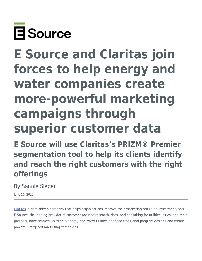

# **E Source and Claritas join forces to help energy and water companies create more-powerful marketing campaigns through superior customer data**

**E Source will use Claritas's PRIZM® Premier segmentation tool to help its clients identify and reach the right customers with the right offerings**

By Sannie Sieper

June 10, 2020

[Claritas](https://claritas.com/), a data-driven company that helps organizations improve their marketing return on investment, and E Source, the leading provider of customer-focused research, data, and consulting for utilities, cities, and their partners, have teamed up to help energy and water utilities enhance traditional program designs and create powerful, targeted marketing campaigns.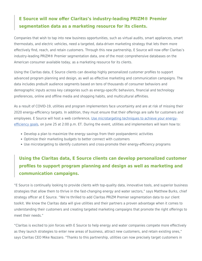## **E Source will now offer Claritas's industry-leading PRIZM® Premier segmentation data as a marketing resource for its clients.**

Companies that wish to tap into new business opportunities, such as virtual audits, smart appliances, smart thermostats, and electric vehicles, need a targeted, data-driven marketing strategy that lets them more effectively find, reach, and retain customers. Through this new partnership, E Source will now offer Claritas's industry-leading PRIZM® Premier segmentation data, one of the most comprehensive databases on the American consumer available today, as a marketing resource for its clients.

Using the Claritas data, E Source clients can develop highly personalized customer profiles to support advanced program planning and design, as well as effective marketing and communication campaigns. The data includes prebuilt audience segments based on tens of thousands of consumer behaviors and demographic inputs across key categories such as energy-specific behaviors, financial and technology preferences, online and offline media and shopping habits, and multicultural affinities.

As a result of COVID-19, utilities and program implementers face uncertainty and are at risk of missing their 2020 energy-efficiency targets. In addition, they must ensure that their offerings are safe for customers and employees. E Source will host a web conference, [Use microtargeting techniques to achieve your energy](https://www.esource.com/001201dqzo/use-microtargeting-techniques-achieve-your-energy-efficiency-goals)[efficiency goals,](https://www.esource.com/001201dqzo/use-microtargeting-techniques-achieve-your-energy-efficiency-goals) on June 25 at 2:00 p.m. ET. During the event, utilities and implementers will learn how to:

- Develop a plan to maximize the energy savings from their postpandemic activities
- Optimize their marketing budgets to better connect with customers
- Use microtargeting to identify customers and cross-promote their energy-efficiency programs

## **Using the Claritas data, E Source clients can develop personalized customer profiles to support program planning and design as well as marketing and communication campaigns.**

"E Source is continually looking to provide clients with top-quality data, innovative tools, and superior business strategies that allow them to thrive in the fast-changing energy and water sectors," says Matthew Burks, chief strategy officer at E Source. "We're thrilled to add Claritas PRIZM Premier segmentation data to our client toolkit. We know the Claritas data will give utilities and their partners a proven advantage when it comes to understanding their customers and creating targeted marketing campaigns that promote the right offerings to meet their needs."

"Claritas is excited to join forces with E Source to help energy and water companies compete more effectively as they launch strategies to enter new areas of business, attract new customers, and retain existing ones," says Claritas CEO Mike Nazzaro. "Thanks to this partnership, utilities can now precisely target customers in